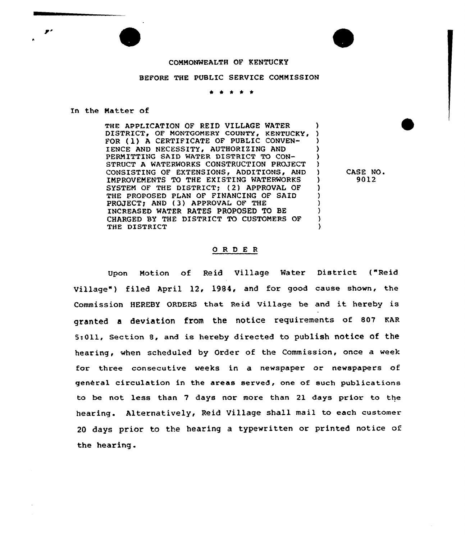## COMMONWEALTH OF KENTUCKY

## BEFORE THE PUBLIC SERVICE COMMISSION

In the Matter of

THE APPLICATION OF REID VILLAGE WATER (1997)<br>DISTRICT, OF MONTGOMERY COUNTY, KENTUCKY, 1 DISTRICT, OF MONTGOMERY COUNTY, KENTUCKY, )<br>FOR (1) A CERTIFICATE OF PUBLIC CONVEN-FOR (1) A CERTIFICATE OF PUBLIC CONVEN-IENCE AND NECESSITY, AUTHORIZING AND PERMITTING SAID WATER DISTRICT TO CON- (3)<br>STRUCT A WATERWORKS CONSTRUCTION PROJECT(3) STRUCT A WATERWORKS CONSTRUCTION PROJECT CONSISTING OF EXTENSIONS, ADDITIONS, AND ) IMPROVEMENTS TO THE EXISTING WATERWORKS ) SYSTEM OF THE DISTRICT; (2) APPROVAL OF THE PROPOSED PLAN OF FINANCING OF SAID PROJECT; AND (3) APPROVAL OF THE INCREASED WATER RATES PROPOSED TO BE CHARGED BY THE DISTRICT TO CUSTOMERS OF THE DISTRICT )

CASE NO. 9012

## 0 R <sup>D</sup> E <sup>R</sup>

Upon Motion of Reid Village Water District ("Reid Village" ) filed April 12, 1984, and for good cause shown, the Commission HEREBY ORDERS that Reid Village be and it hereby is granted <sup>a</sup> deviation from the notice requirements of 807 KAR 5:011, section 8, and is hereby directed to publish notice of the hearing, when scheduled by Order of the Commission, once a week for three consecutive weeks in a newspaper or newspapers of general circulation in the areas served, one of such publications to be not less than 7 days nor more than 21 days prior to the hearing. Alternatively, Reid Village shall mail to each customer <sup>20</sup> days prior to the hearing a typewritten or printed notice of the hearing.